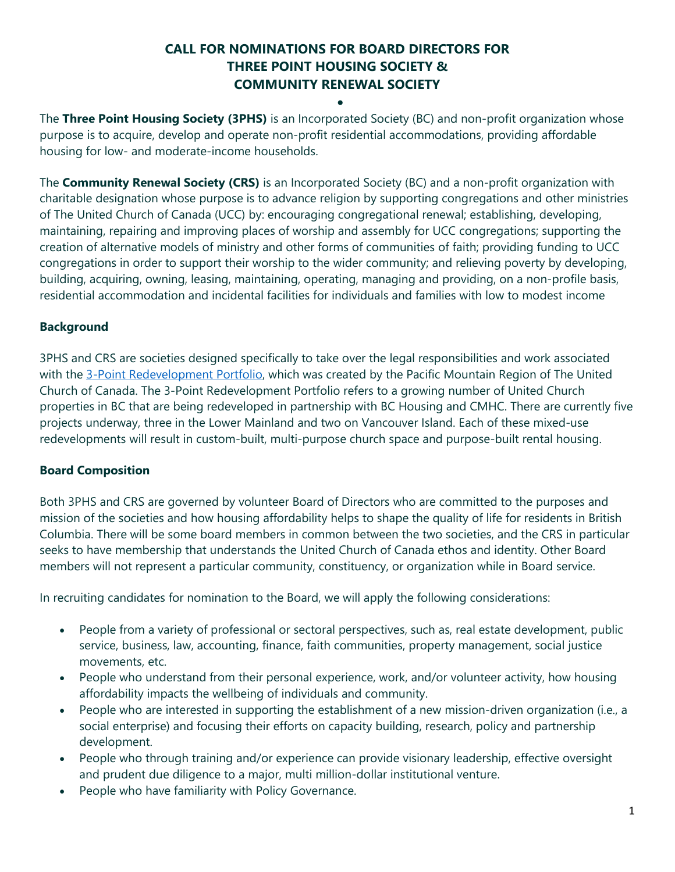# **CALL FOR NOMINATIONS FOR BOARD DIRECTORS FOR THREE POINT HOUSING SOCIETY & COMMUNITY RENEWAL SOCIETY**

•

The **Three Point Housing Society (3PHS)** is an Incorporated Society (BC) and non-profit organization whose purpose is to acquire, develop and operate non-profit residential accommodations, providing affordable housing for low- and moderate-income households.

The **Community Renewal Society (CRS)** is an Incorporated Society (BC) and a non-profit organization with charitable designation whose purpose is to advance religion by supporting congregations and other ministries of The United Church of Canada (UCC) by: encouraging congregational renewal; establishing, developing, maintaining, repairing and improving places of worship and assembly for UCC congregations; supporting the creation of alternative models of ministry and other forms of communities of faith; providing funding to UCC congregations in order to support their worship to the wider community; and relieving poverty by developing, building, acquiring, owning, leasing, maintaining, operating, managing and providing, on a non-profile basis, residential accommodation and incidental facilities for individuals and families with low to modest income

## **Background**

3PHS and CRS are societies designed specifically to take over the legal responsibilities and work associated with the [3-Point Redevelopment Portfolio,](https://pacificmountain.ca/property-and-finance/property-resource-team/the-three-point-redevelopment-portfolio/) which was created by the Pacific Mountain Region of The United Church of Canada. The 3-Point Redevelopment Portfolio refers to a growing number of United Church properties in BC that are being redeveloped in partnership with BC Housing and CMHC. There are currently five projects underway, three in the Lower Mainland and two on Vancouver Island. Each of these mixed-use redevelopments will result in custom-built, multi-purpose church space and purpose-built rental housing.

### **Board Composition**

Both 3PHS and CRS are governed by volunteer Board of Directors who are committed to the purposes and mission of the societies and how housing affordability helps to shape the quality of life for residents in British Columbia. There will be some board members in common between the two societies, and the CRS in particular seeks to have membership that understands the United Church of Canada ethos and identity. Other Board members will not represent a particular community, constituency, or organization while in Board service.

In recruiting candidates for nomination to the Board, we will apply the following considerations:

- People from a variety of professional or sectoral perspectives, such as, real estate development, public service, business, law, accounting, finance, faith communities, property management, social justice movements, etc.
- People who understand from their personal experience, work, and/or volunteer activity, how housing affordability impacts the wellbeing of individuals and community.
- People who are interested in supporting the establishment of a new mission-driven organization (i.e., a social enterprise) and focusing their efforts on capacity building, research, policy and partnership development.
- People who through training and/or experience can provide visionary leadership, effective oversight and prudent due diligence to a major, multi million-dollar institutional venture.
- People who have familiarity with Policy Governance.